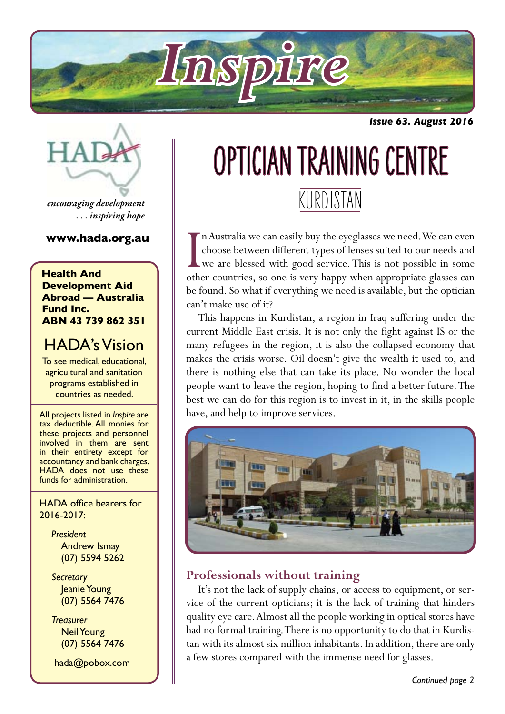

*Issue 63. August 2016*



*encouraging development . . . inspiring hope*

#### **www.hada.org.au**

**Health And Development Aid Abroad — Australia Fund Inc. ABN 43 739 862 351**

# HADA's Vision

To see medical, educational, agricultural and sanitation programs established in countries as needed.

All projects listed in *Inspire* are tax deductible. All monies for these projects and personnel involved in them are sent in their entirety except for accountancy and bank charges. HADA does not use these funds for administration.

HADA office bearers for 2016-2017:

> *President* Andrew Ismay (07) 5594 5262

> *Secretary* Jeanie Young (07) 5564 7476

> *Treasurer* Neil Young (07) 5564 7476

hada@pobox.com

# KURDISTAN OPTICIAN TRAINING CENTRE

In Australia we can easily buy the eyeglasses we need. We can even choose between different types of lenses suited to our needs and we are blessed with good service. This is not possible in some other countries, so one is n Australia we can easily buy the eyeglasses we need. We can even choose between different types of lenses suited to our needs and we are blessed with good service. This is not possible in some be found. So what if everything we need is available, but the optician can't make use of it?

This happens in Kurdistan, a region in Iraq suffering under the current Middle East crisis. It is not only the fight against IS or the many refugees in the region, it is also the collapsed economy that makes the crisis worse. Oil doesn't give the wealth it used to, and there is nothing else that can take its place. No wonder the local people want to leave the region, hoping to find a better future. The best we can do for this region is to invest in it, in the skills people have, and help to improve services.



# **Professionals without training**

It's not the lack of supply chains, or access to equipment, or service of the current opticians; it is the lack of training that hinders quality eye care. Almost all the people working in optical stores have had no formal training. There is no opportunity to do that in Kurdistan with its almost six million inhabitants. In addition, there are only a few stores compared with the immense need for glasses.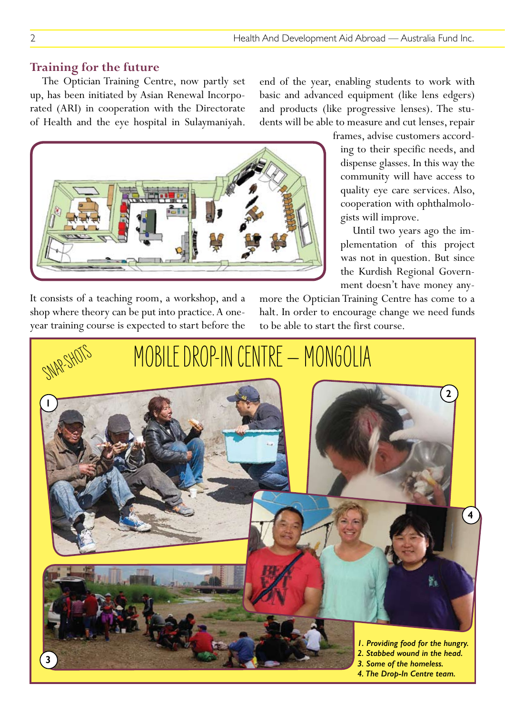#### **Training for the future**

The Optician Training Centre, now partly set up, has been initiated by Asian Renewal Incorporated (ARI) in cooperation with the Directorate of Health and the eye hospital in Sulaymaniyah. end of the year, enabling students to work with basic and advanced equipment (like lens edgers) and products (like progressive lenses). The students will be able to measure and cut lenses, repair

> ing to their specific needs, and dispense glasses. In this way the community will have access to quality eye care services. Also, cooperation with ophthalmolo-

> Until two years ago the implementation of this project was not in question. But since the Kurdish Regional Govern-



It consists of a teaching room, a workshop, and a shop where theory can be put into practice. A oneyear training course is expected to start before the

ment doesn't have money anymore the Optician Training Centre has come to a halt. In order to encourage change we need funds to be able to start the first course.

gists will improve.

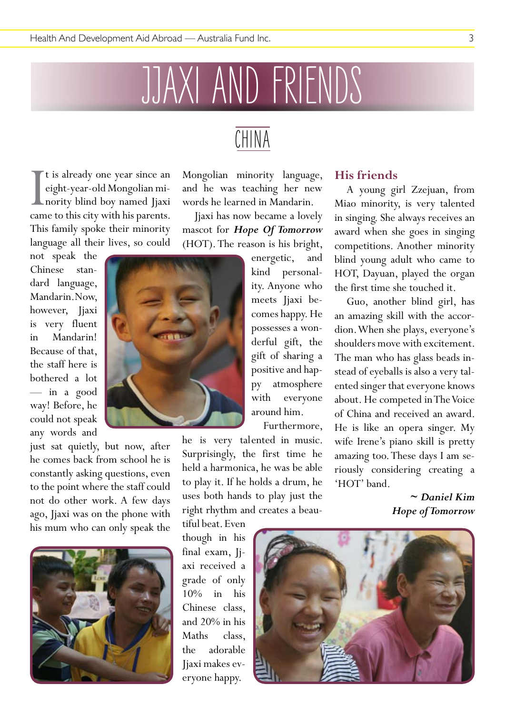# JJAXI AND FRIENDS

I<br>Cam t is already one year since an eight-year-old Mongolian minority blind boy named Jjaxi came to this city with his parents. This family spoke their minority language all their lives, so could

not speak the Chinese standard language, Mandarin. Now, however, Jiaxi is very fluent in Mandarin! Because of that, the staff here is bothered a lot — in a good way! Before, he could not speak any words and

just sat quietly, but now, after he comes back from school he is constantly asking questions, even to the point where the staff could not do other work. A few days ago, Jjaxi was on the phone with his mum who can only speak the



# Mongolian minority language, and he was teaching her new

CHINA

words he learned in Mandarin. Jjaxi has now became a lovely mascot for *Hope Of Tomorrow* (HOT). The reason is his bright,

> energetic, and kind personality. Anyone who meets Jjaxi becomes happy. He possesses a wonderful gift, the gift of sharing a positive and happy atmosphere with everyone around him.

Furthermore,

he is very talented in music. Surprisingly, the first time he held a harmonica, he was be able to play it. If he holds a drum, he uses both hands to play just the right rhythm and creates a beau-

tiful beat. Even though in his final exam, Jiaxi received a grade of only 10% in his Chinese class, and 20% in his Maths class. the adorable Jjaxi makes everyone happy.

## **His friends**

A young girl Zzejuan, from Miao minority, is very talented in singing. She always receives an award when she goes in singing competitions. Another minority blind young adult who came to HOT, Dayuan, played the organ the first time she touched it.

Guo, another blind girl, has an amazing skill with the accordion. When she plays, everyone's shoulders move with excitement. The man who has glass beads instead of eyeballs is also a very talented singer that everyone knows about. He competed in The Voice of China and received an award. He is like an opera singer. My wife Irene's piano skill is pretty amazing too. These days I am seriously considering creating a 'HOT' band.

> *~ Daniel Kim Hope of Tomorrow*

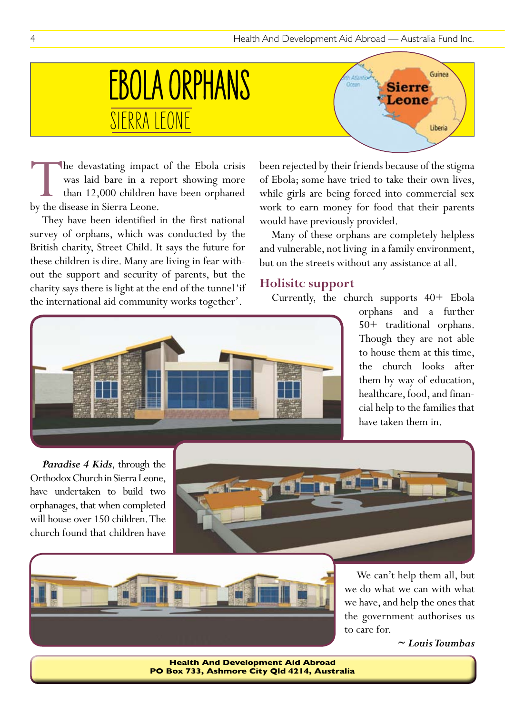# SIERRA LEONE EBOLA ORPHANS

Guinea **Add** Cress **Sierre** eone Liberia

The devastating impact of the Ebola crisis<br>was laid bare in a report showing more<br>than 12,000 children have been orphaned<br>by the disease in Sierra Leone. was laid bare in a report showing more than 12,000 children have been orphaned by the disease in Sierra Leone.

They have been identified in the first national survey of orphans, which was conducted by the British charity, Street Child. It says the future for these children is dire. Many are living in fear without the support and security of parents, but the charity says there is light at the end of the tunnel 'if the international aid community works together'.

been rejected by their friends because of the stigma of Ebola; some have tried to take their own lives, while girls are being forced into commercial sex work to earn money for food that their parents would have previously provided.

Many of these orphans are completely helpless and vulnerable, not living in a family environment, but on the streets without any assistance at all.

#### **Holisitc support**

Currently, the church supports 40+ Ebola



orphans and a further 50+ traditional orphans. Though they are not able to house them at this time, the church looks after them by way of education, healthcare, food, and financial help to the families that have taken them in.

*Paradise 4 Kids*, through the Orthodox Church in Sierra Leone, have undertaken to build two orphanages, that when completed will house over 150 children. The church found that children have





We can't help them all, but we do what we can with what we have, and help the ones that the government authorises us to care for.

*~ Louis Toumbas*

**Health And Development Aid Abroad PO Box 733, Ashmore City Qld 4214, Australia**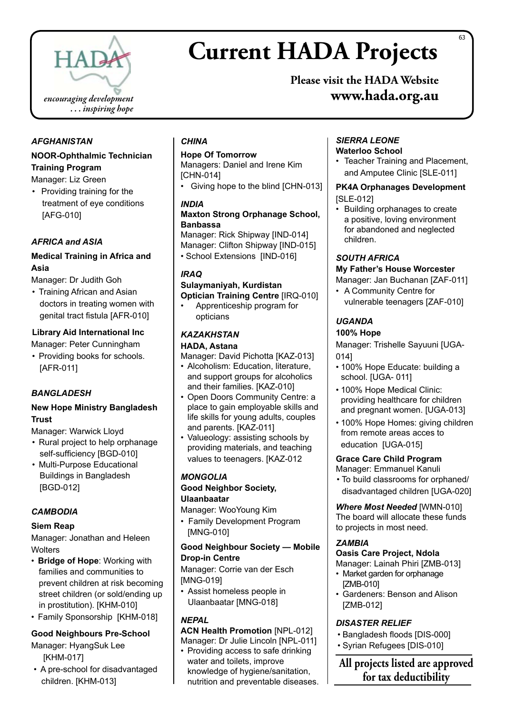

# **Current HADA Projects**

**Please visit the HADA Website www.hada.org.au**

#### *AFGHANISTAN*

#### **NOOR-Ophthalmic Technician Training Program**

Manager: Liz Green

• Providing training for the treatment of eye conditions [AFG-010]

#### *AFRICA and ASIA*

#### **Medical Training in Africa and Asia**

Manager: Dr Judith Goh

• Training African and Asian doctors in treating women with genital tract fistula [AFR-010]

#### **Library Aid International Inc**

Manager: Peter Cunningham

• Providing books for schools. [AFR-011]

#### *BANGLADESH*

#### **New Hope Ministry Bangladesh Trust**

Manager: Warwick Lloyd

- Rural project to help orphanage self-sufficiency [BGD-010]
- Multi-Purpose Educational Buildings in Bangladesh [BGD-012]

#### *CAMBODIA*

#### **Siem Reap**

Manager: Jonathan and Heleen **Wolters** 

- • **Bridge of Hope**: Working with families and communities to prevent children at risk becoming street children (or sold/ending up in prostitution). [KHM-010]
- Family Sponsorship [KHM-018]

#### **Good Neighbours Pre-School**

Manager: HyangSuk Lee [KHM-017]

• A pre-school for disadvantaged children. [KHM-013]

#### *CHINA*

#### **Hope Of Tomorrow**

Managers: Daniel and Irene Kim [CHN-014]

• Giving hope to the blind [CHN-013]

#### *INDIA*

#### **Maxton Strong Orphanage School, Banbassa**

Manager: Rick Shipway [IND-014] Manager: Clifton Shipway [IND-015] • School Extensions [IND-016]

#### *IRAQ*

#### **Sulaymaniyah, Kurdistan Optician Training Centre** [IRQ-010]

Apprenticeship program for opticians

#### *KAZAKHSTAN* **HADA, Astana**

Manager: David Pichotta [KAZ-013]

- Alcoholism: Education, literature, and support groups for alcoholics and their families. [KAZ-010]
- Open Doors Community Centre: a place to gain employable skills and life skills for young adults, couples and parents. [KAZ-011]
- Valueology: assisting schools by providing materials, and teaching values to teenagers. [KAZ-012

#### *MONGOLIA* **Good Neighbor Society,**

#### **Ulaanbaatar**

Manager: WooYoung Kim

• Family Development Program [MNG-010]

#### **Good Neighbour Society — Mobile Drop-in Centre**

Manager: Corrie van der Esch [MNG-019]

• Assist homeless people in Ulaanbaatar [MNG-018]

#### *NEPAL*

**ACN Health Promotion** [NPL-012] Manager: Dr Julie Lincoln [NPL-011]

• Providing access to safe drinking water and toilets, improve knowledge of hygiene/sanitation, nutrition and preventable diseases.

#### *SIERRA LEONE* **Waterloo School**

• Teacher Training and Placement, and Amputee Clinic [SLE-011]

# **PK4A Orphanages Development**

#### [SLE-012]

• Building orphanages to create a positive, loving environment for abandoned and neglected children.

#### *SOUTH AFRICA*

#### **My Father's House Worcester**

#### Manager: Jan Buchanan [ZAF-011]

• A Community Centre for vulnerable teenagers [ZAF-010]

#### *UGANDA*

#### **100% Hope**

Manager: Trishelle Sayuuni [UGA-014]

- 100% Hope Educate: building a school. [UGA- 011]
- 100% Hope Medical Clinic: providing healthcare for children and pregnant women. [UGA-013]
- 100% Hope Homes: giving children from remote areas acces to education [UGA-015]

#### **Grace Care Child Program**

Manager: Emmanuel Kanuli • To build classrooms for orphaned/ disadvantaged children [UGA-020]

*Where Most Needed* [WMN-010] The board will allocate these funds

#### *ZAMBIA*

#### **Oasis Care Project, Ndola**

to projects in most need.

#### Manager: Lainah Phiri [ZMB-013]

- Market garden for orphanage [ZMB-010]
- Gardeners: Benson and Alison [ZMB-012]

#### *DISASTER RELIEF*

- • Bangladesh floods [DIS-000]
- • Syrian Refugees [DIS-010]

**All projects listed are approved for tax deductibility**